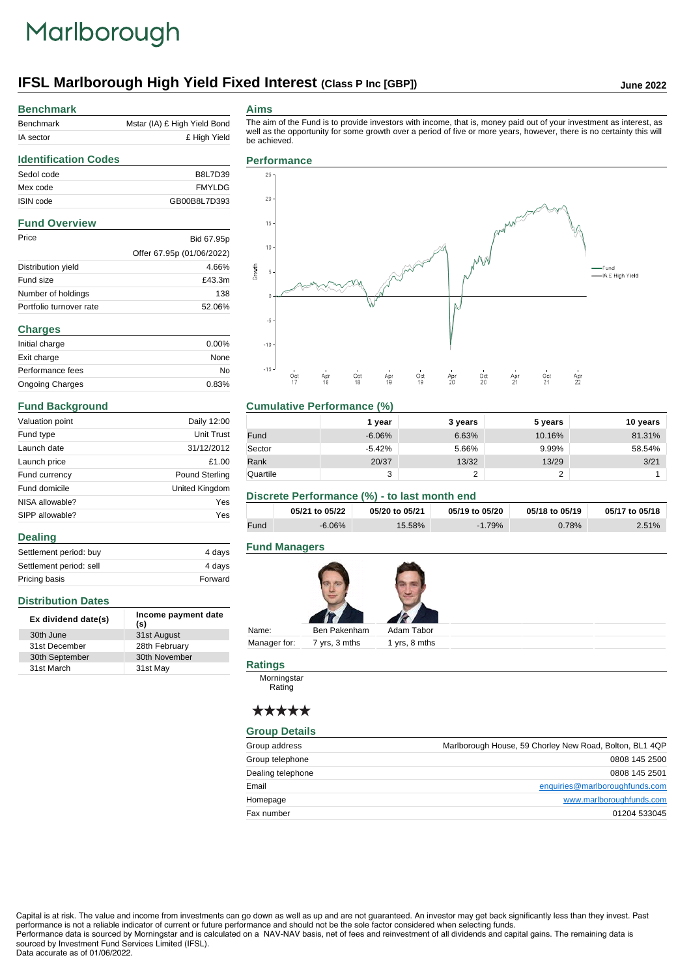# Marlborough

# **IFSL Marlborough High Yield Fixed Interest (Class P Inc [GBP])** June 2022

## **Benchmark**

**Identification Codes**

| Benchmark | Mstar (IA) £ High Yield Bond |
|-----------|------------------------------|
| IA sector | £ High Yield                 |

#### **Aims**

The aim of the Fund is to provide investors with income, that is, money paid out of your investment as interest, as well as the opportunity for some growth over a period of five or more years, however, there is no certainty this will

## Sedol code B8L7D39 Mex code FMYLDG ISIN code GB00B8L7D393 **Fund Overview** Price Bid 67.95p Offer 67.95p (01/06/2022) Distribution yield 4.66% Fund size **E43.3m** Number of holdings 138 Portfolio turnover rate 52.06% **Charges** Initial charge 0.00% Exit charge None Performance fees No Ongoing Charges 0.83%

#### **Fund Background**

**Distribution Dates**

31st March

**Dealing**

| Valuation point | Daily 12:00           |
|-----------------|-----------------------|
| Fund type       | Unit Trust            |
| Launch date     | 31/12/2012            |
| Launch price    | £1.00                 |
| Fund currency   | <b>Pound Sterling</b> |
| Fund domicile   | United Kingdom        |
| NISA allowable? | Yes                   |
| SIPP allowable? | Yes                   |

Settlement period: buy 4 days Settlement period: sell 4 days Pricing basis **Forward** 

**Ex dividend date(s) Income payment date (s)**

30th June 31st August 31st December 28th February 30th September 30th November<br>31st March 31st May be achieved.



#### **Cumulative Performance (%)**

|          | 1 vear   | 3 years | 5 years    | 10 years |
|----------|----------|---------|------------|----------|
| Fund     | $-6.06%$ | 6.63%   | 10.16%     | 81.31%   |
| Sector   | $-5.42%$ | 5.66%   | 9.99%      | 58.54%   |
| Rank     | 20/37    | 13/32   | 13/29      | 3/21     |
| Quartile | 3        |         | $\sqrt{2}$ |          |

#### **Discrete Performance (%) - to last month end**

|      | 05/21 to 05/22 | 05/20 to 05/21 | 05/19 to 05/20 | 05/18 to 05/19 | 05/17 to 05/18 |
|------|----------------|----------------|----------------|----------------|----------------|
| Fund | $-6.06%$       | 15.58%         | $-1.79%$       | 0.78%          | 2.51%          |

### **Fund Managers**



Name: Ben Pakenham Adam Tabor Manager for: 7 yrs, 3 mths 1 yrs, 8 mths

#### **Ratings**

**Morningstar** Rating

# \*\*\*\*\*

#### **Group Details**

| Group address     | Marlborough House, 59 Chorley New Road, Bolton, BL1 4QP |
|-------------------|---------------------------------------------------------|
| Group telephone   | 0808 145 2500                                           |
| Dealing telephone | 0808 145 2501                                           |
| Email             | enquiries@marlboroughfunds.com                          |
| Homepage          | www.marlboroughfunds.com                                |
| Fax number        | 01204 533045                                            |

Capital is at risk. The value and income from investments can go down as well as up and are not guaranteed. An investor may get back significantly less than they invest. Past performance is not a reliable indicator of current or future performance and should not be the sole factor considered when selecting funds. Performance data is sourced by Morningstar and is calculated on a NAV-NAV basis, net of fees and reinvestment of all dividends and capital gains. The remaining data is

sourced by Investment Fund Services Limited (IFSL).

#### Data accurate as of 01/06/2022.